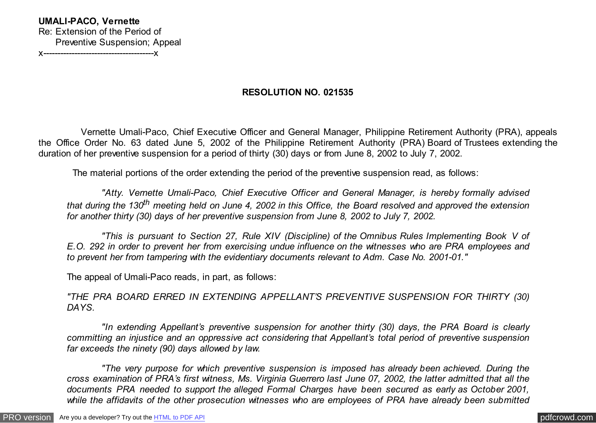# **RESOLUTION NO. 021535**

 Vernette Umali-Paco, Chief Executive Officer and General Manager, Philippine Retirement Authority (PRA), appeals the Office Order No. 63 dated June 5, 2002 of the Philippine Retirement Authority (PRA) Board of Trustees extending the duration of her preventive suspension for a period of thirty (30) days or from June 8, 2002 to July 7, 2002.

The material portions of the order extending the period of the preventive suspension read, as follows:

 *"Atty. Vernette Umali-Paco, Chief Executive Officer and General Manager, is hereby formally advised that during the 130th meeting held on June 4, 2002 in this Office, the Board resolved and approved the extension for another thirty (30) days of her preventive suspension from June 8, 2002 to July 7, 2002.*

 *"This is pursuant to Section 27, Rule XIV (Discipline) of the Omnibus Rules Implementing Book V of E.O. 292 in order to prevent her from exercising undue influence on the witnesses who are PRA employees and to prevent her from tampering with the evidentiary documents relevant to Adm. Case No. 2001-01."*

The appeal of Umali-Paco reads, in part, as follows:

*"THE PRA BOARD ERRED IN EXTENDING APPELLANT'S PREVENTIVE SUSPENSION FOR THIRTY (30) DAYS.*

 *"In extending Appellant's preventive suspension for another thirty (30) days, the PRA Board is clearly committing an injustice and an oppressive act considering that Appellant's total period of preventive suspension far exceeds the ninety (90) days allowed by law.*

 *"The very purpose for which preventive suspension is imposed has already been achieved. During the cross examination of PRA's first witness, Ms. Virginia Guerrero last June 07, 2002, the latter admitted that all the documents PRA needed to support the alleged Formal Charges have been secured as early as October 2001, while the affidavits of the other prosecution witnesses who are employees of PRA have already been submitted*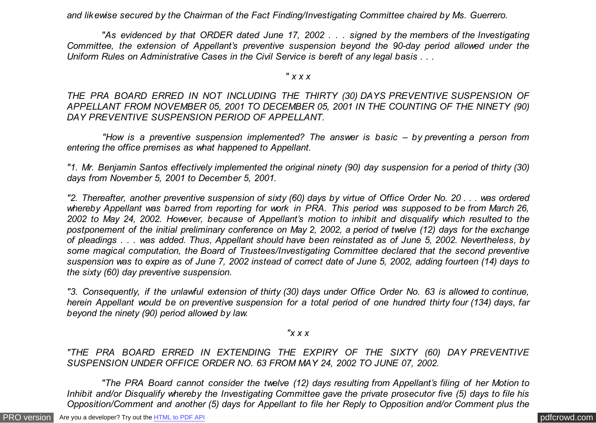*and likewise secured by the Chairman of the Fact Finding/Investigating Committee chaired by Ms. Guerrero.*

 *"As evidenced by that ORDER dated June 17, 2002 . . . signed by the members of the Investigating Committee, the extension of Appellant's preventive suspension beyond the 90-day period allowed under the Uniform Rules on Administrative Cases in the Civil Service is bereft of any legal basis . . .*

*" x x x*

*THE PRA BOARD ERRED IN NOT INCLUDING THE THIRTY (30) DAYS PREVENTIVE SUSPENSION OF APPELLANT FROM NOVEMBER 05, 2001 TO DECEMBER 05, 2001 IN THE COUNTING OF THE NINETY (90) DAY PREVENTIVE SUSPENSION PERIOD OF APPELLANT.*

 *"How is a preventive suspension implemented? The answer is basic – by preventing a person from entering the office premises as what happened to Appellant.*

*"1. Mr. Benjamin Santos effectively implemented the original ninety (90) day suspension for a period of thirty (30) days from November 5, 2001 to December 5, 2001.*

*"2. Thereafter, another preventive suspension of sixty (60) days by virtue of Office Order No. 20 . . . was ordered whereby Appellant was barred from reporting for work in PRA. This period was supposed to be from March 26, 2002 to May 24, 2002. However, because of Appellant's motion to inhibit and disqualify which resulted to the postponement of the initial preliminary conference on May 2, 2002, a period of twelve (12) days for the exchange of pleadings . . . was added. Thus, Appellant should have been reinstated as of June 5, 2002. Nevertheless, by some magical computation, the Board of Trustees/Investigating Committee declared that the second preventive suspension was to expire as of June 7, 2002 instead of correct date of June 5, 2002, adding fourteen (14) days to the sixty (60) day preventive suspension.*

*"3. Consequently, if the unlawful extension of thirty (30) days under Office Order No. 63 is allowed to continue, herein Appellant would be on preventive suspension for a total period of one hundred thirty four (134) days, far beyond the ninety (90) period allowed by law.*

*"x x x*

*"THE PRA BOARD ERRED IN EXTENDING THE EXPIRY OF THE SIXTY (60) DAY PREVENTIVE SUSPENSION UNDER OFFICE ORDER NO. 63 FROM MAY 24, 2002 TO JUNE 07, 2002.*

 *"The PRA Board cannot consider the twelve (12) days resulting from Appellant's filing of her Motion to Inhibit and/or Disqualify whereby the Investigating Committee gave the private prosecutor five (5) days to file his Opposition/Comment and another (5) days for Appellant to file her Reply to Opposition and/or Comment plus the*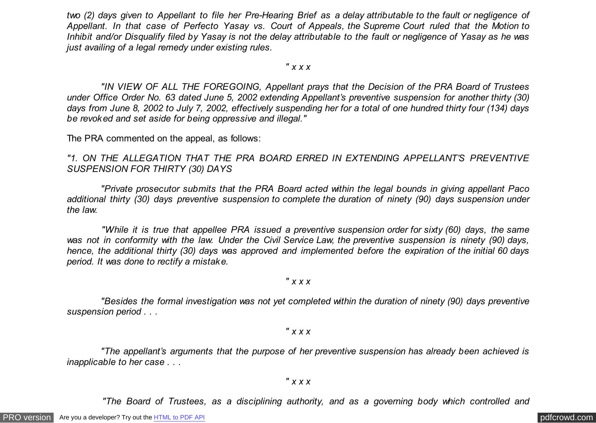*two (2) days given to Appellant to file her Pre-Hearing Brief as a delay attributable to the fault or negligence of Appellant. In that case of Perfecto Yasay vs. Court of Appeals, the Supreme Court ruled that the Motion to Inhibit and/or Disqualify filed by Yasay is not the delay attributable to the fault or negligence of Yasay as he was just availing of a legal remedy under existing rules.*

*" x x x*

 *"IN VIEW OF ALL THE FOREGOING, Appellant prays that the Decision of the PRA Board of Trustees under Office Order No. 63 dated June 5, 2002 extending Appellant's preventive suspension for another thirty (30) days from June 8, 2002 to July 7, 2002, effectively suspending her for a total of one hundred thirty four (134) days be revoked and set aside for being oppressive and illegal."*

The PRA commented on the appeal, as follows:

*"1. ON THE ALLEGATION THAT THE PRA BOARD ERRED IN EXTENDING APPELLANT'S PREVENTIVE SUSPENSION FOR THIRTY (30) DAYS*

 *"Private prosecutor submits that the PRA Board acted within the legal bounds in giving appellant Paco additional thirty (30) days preventive suspension to complete the duration of ninety (90) days suspension under the law.*

 *"While it is true that appellee PRA issued a preventive suspension order for sixty (60) days, the same was not in conformity with the law. Under the Civil Service Law, the preventive suspension is ninety (90) days, hence, the additional thirty (30) days was approved and implemented before the expiration of the initial 60 days period. It was done to rectify a mistake.*

*" x x x*

 *"Besides the formal investigation was not yet completed within the duration of ninety (90) days preventive suspension period . . .*

*" x x x*

 *"The appellant's arguments that the purpose of her preventive suspension has already been achieved is inapplicable to her case . . .*

*" x x x*

 *"The Board of Trustees, as a disciplining authority, and as a governing body which controlled and*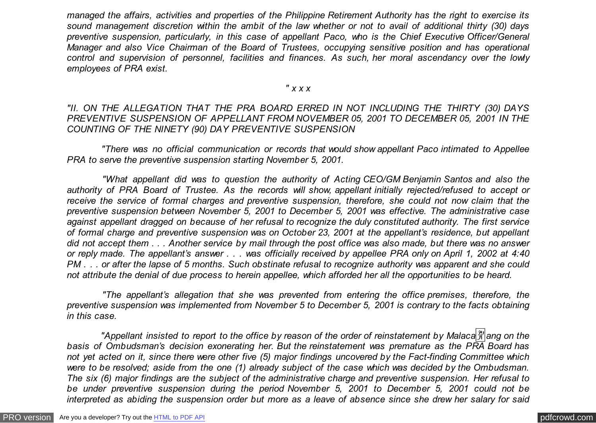*managed the affairs, activities and properties of the Philippine Retirement Authority has the right to exercise its sound management discretion within the ambit of the law whether or not to avail of additional thirty (30) days preventive suspension, particularly, in this case of appellant Paco, who is the Chief Executive Officer/General Manager and also Vice Chairman of the Board of Trustees, occupying sensitive position and has operational control and supervision of personnel, facilities and finances. As such, her moral ascendancy over the lowly employees of PRA exist.*

### *" x x x*

### *"II. ON THE ALLEGATION THAT THE PRA BOARD ERRED IN NOT INCLUDING THE THIRTY (30) DAYS PREVENTIVE SUSPENSION OF APPELLANT FROM NOVEMBER 05, 2001 TO DECEMBER 05, 2001 IN THE COUNTING OF THE NINETY (90) DAY PREVENTIVE SUSPENSION*

 *"There was no official communication or records that would show appellant Paco intimated to Appellee PRA to serve the preventive suspension starting November 5, 2001.*

 *"What appellant did was to question the authority of Acting CEO/GM Benjamin Santos and also the authority of PRA Board of Trustee. As the records will show, appellant initially rejected/refused to accept or receive the service of formal charges and preventive suspension, therefore, she could not now claim that the preventive suspension between November 5, 2001 to December 5, 2001 was effective. The administrative case against appellant dragged on because of her refusal to recognize the duly constituted authority. The first service of formal charge and preventive suspension was on October 23, 2001 at the appellant's residence, but appellant did not accept them . . . Another service by mail through the post office was also made, but there was no answer or reply made. The appellant's answer . . . was officially received by appellee PRA only on April 1, 2002 at 4:40 PM . . . or after the lapse of 5 months. Such obstinate refusal to recognize authority was apparent and she could not attribute the denial of due process to herein appellee, which afforded her all the opportunities to be heard.*

 *"The appellant's allegation that she was prevented from entering the office premises, therefore, the preventive suspension was implemented from November 5 to December 5, 2001 is contrary to the facts obtaining in this case.*

*"Appellant insisted to report to the office by reason of the order of reinstatement by Malaca* $\frac{29}{21}$  ang on the *basis of Ombudsman's decision exonerating her. But the reinstatement was premature as the PRA Board has not yet acted on it, since there were other five (5) major findings uncovered by the Fact-finding Committee which were to be resolved; aside from the one (1) already subject of the case which was decided by the Ombudsman. The six (6) major findings are the subject of the administrative charge and preventive suspension. Her refusal to be under preventive suspension during the period November 5, 2001 to December 5, 2001 could not be interpreted as abiding the suspension order but more as a leave of absence since she drew her salary for said*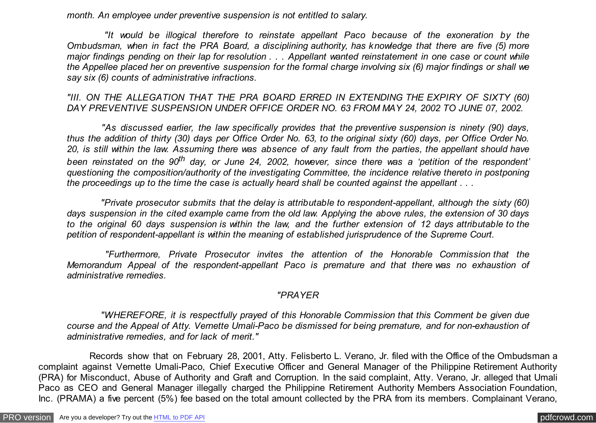*month. An employee under preventive suspension is not entitled to salary.*

 *"It would be illogical therefore to reinstate appellant Paco because of the exoneration by the Ombudsman, when in fact the PRA Board, a disciplining authority, has knowledge that there are five (5) more major findings pending on their lap for resolution . . . Appellant wanted reinstatement in one case or count while the Appellee placed her on preventive suspension for the formal charge involving six (6) major findings or shall we say six (6) counts of administrative infractions.*

*"III. ON THE ALLEGATION THAT THE PRA BOARD ERRED IN EXTENDING THE EXPIRY OF SIXTY (60) DAY PREVENTIVE SUSPENSION UNDER OFFICE ORDER NO. 63 FROM MAY 24, 2002 TO JUNE 07, 2002.*

 *"As discussed earlier, the law specifically provides that the preventive suspension is ninety (90) days, thus the addition of thirty (30) days per Office Order No. 63, to the original sixty (60) days, per Office Order No. 20, is still within the law. Assuming there was absence of any fault from the parties, the appellant should have been reinstated on the 90th day, or June 24, 2002, however, since there was a 'petition of the respondent' questioning the composition/authority of the investigating Committee, the incidence relative thereto in postponing the proceedings up to the time the case is actually heard shall be counted against the appellant . . .*

 *"Private prosecutor submits that the delay is attributable to respondent-appellant, although the sixty (60) days suspension in the cited example came from the old law. Applying the above rules, the extension of 30 days to the original 60 days suspension is within the law, and the further extension of 12 days attributable to the petition of respondent-appellant is within the meaning of established jurisprudence of the Supreme Court.*

 *"Furthermore, Private Prosecutor invites the attention of the Honorable Commission that the Memorandum Appeal of the respondent-appellant Paco is premature and that there was no exhaustion of administrative remedies.*

### *"PRAYER*

 *"WHEREFORE, it is respectfully prayed of this Honorable Commission that this Comment be given due course and the Appeal of Atty. Vernette Umali-Paco be dismissed for being premature, and for non-exhaustion of administrative remedies, and for lack of merit."*

 Records show that on February 28, 2001, Atty. Felisberto L. Verano, Jr. filed with the Office of the Ombudsman a complaint against Vernette Umali-Paco, Chief Executive Officer and General Manager of the Philippine Retirement Authority (PRA) for Misconduct, Abuse of Authority and Graft and Corruption. In the said complaint, Atty. Verano, Jr. alleged that Umali Paco as CEO and General Manager illegally charged the Philippine Retirement Authority Members Association Foundation, Inc. (PRAMA) a five percent (5%) fee based on the total amount collected by the PRA from its members. Complainant Verano,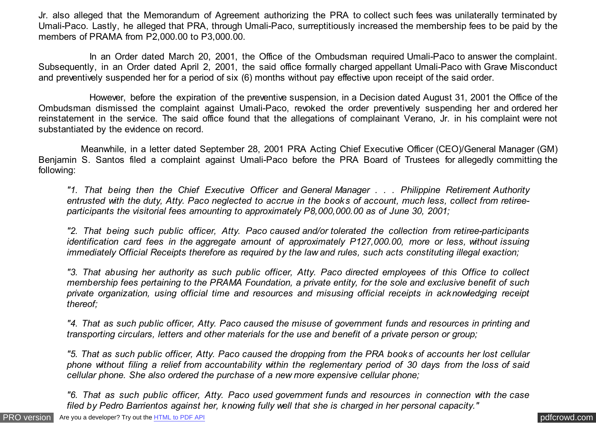Jr. also alleged that the Memorandum of Agreement authorizing the PRA to collect such fees was unilaterally terminated by Umali-Paco. Lastly, he alleged that PRA, through Umali-Paco, surreptitiously increased the membership fees to be paid by the members of PRAMA from P2,000.00 to P3,000.00.

 In an Order dated March 20, 2001, the Office of the Ombudsman required Umali-Paco to answer the complaint. Subsequently, in an Order dated April 2, 2001, the said office formally charged appellant Umali-Paco with Grave Misconduct and preventively suspended her for a period of six (6) months without pay effective upon receipt of the said order.

 However, before the expiration of the preventive suspension, in a Decision dated August 31, 2001 the Office of the Ombudsman dismissed the complaint against Umali-Paco, revoked the order preventively suspending her and ordered her reinstatement in the service. The said office found that the allegations of complainant Verano, Jr. in his complaint were not substantiated by the evidence on record.

 Meanwhile, in a letter dated September 28, 2001 PRA Acting Chief Executive Officer (CEO)/General Manager (GM) Benjamin S. Santos filed a complaint against Umali-Paco before the PRA Board of Trustees for allegedly committing the following:

*"1. That being then the Chief Executive Officer and General Manager . . . Philippine Retirement Authority entrusted with the duty, Atty. Paco neglected to accrue in the books of account, much less, collect from retireeparticipants the visitorial fees amounting to approximately P8,000,000.00 as of June 30, 2001;*

*"2. That being such public officer, Atty. Paco caused and/or tolerated the collection from retiree-participants identification card fees in the aggregate amount of approximately P127,000.00, more or less, without issuing immediately Official Receipts therefore as required by the law and rules, such acts constituting illegal exaction;*

*"3. That abusing her authority as such public officer, Atty. Paco directed employees of this Office to collect membership fees pertaining to the PRAMA Foundation, a private entity, for the sole and exclusive benefit of such private organization, using official time and resources and misusing official receipts in acknowledging receipt thereof;*

*"4. That as such public officer, Atty. Paco caused the misuse of government funds and resources in printing and transporting circulars, letters and other materials for the use and benefit of a private person or group;*

*"5. That as such public officer, Atty. Paco caused the dropping from the PRA books of accounts her lost cellular phone without filing a relief from accountability within the reglementary period of 30 days from the loss of said cellular phone. She also ordered the purchase of a new more expensive cellular phone;*

*"6. That as such public officer, Atty. Paco used government funds and resources in connection with the case filed by Pedro Barrientos against her, knowing fully well that she is charged in her personal capacity."*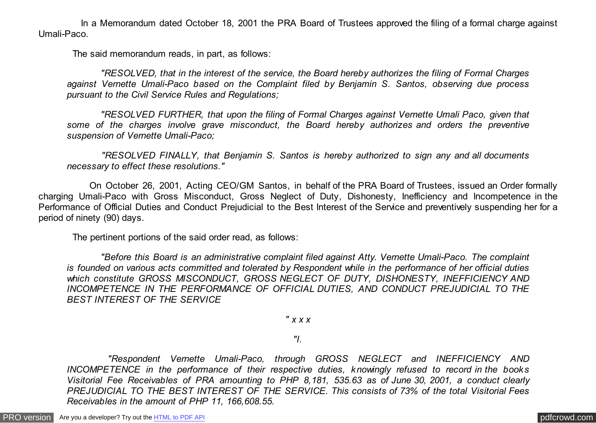In a Memorandum dated October 18, 2001 the PRA Board of Trustees approved the filing of a formal charge against Umali-Paco.

The said memorandum reads, in part, as follows:

 *"RESOLVED, that in the interest of the service, the Board hereby authorizes the filing of Formal Charges against Vernette Umali-Paco based on the Complaint filed by Benjamin S. Santos, observing due process pursuant to the Civil Service Rules and Regulations;*

 *"RESOLVED FURTHER, that upon the filing of Formal Charges against Vernette Umali Paco, given that some of the charges involve grave misconduct, the Board hereby authorizes and orders the preventive suspension of Vernette Umali-Paco;*

 *"RESOLVED FINALLY, that Benjamin S. Santos is hereby authorized to sign any and all documents necessary to effect these resolutions."*

 On October 26, 2001, Acting CEO/GM Santos, in behalf of the PRA Board of Trustees, issued an Order formally charging Umali-Paco with Gross Misconduct, Gross Neglect of Duty, Dishonesty, Inefficiency and Incompetence in the Performance of Official Duties and Conduct Prejudicial to the Best Interest of the Service and preventively suspending her for a period of ninety (90) days.

The pertinent portions of the said order read, as follows:

 *"Before this Board is an administrative complaint filed against Atty. Vernette Umali-Paco. The complaint is founded on various acts committed and tolerated by Respondent while in the performance of her official duties which constitute GROSS MISCONDUCT, GROSS NEGLECT OF DUTY, DISHONESTY, INEFFICIENCY AND INCOMPETENCE IN THE PERFORMANCE OF OFFICIAL DUTIES, AND CONDUCT PREJUDICIAL TO THE BEST INTEREST OF THE SERVICE*

*" x x x*

*"I.*

 *"Respondent Vernette Umali-Paco, through GROSS NEGLECT and INEFFICIENCY AND INCOMPETENCE in the performance of their respective duties, knowingly refused to record in the books Visitorial Fee Receivables of PRA amounting to PHP 8,181, 535.63 as of June 30, 2001, a conduct clearly PREJUDICIAL TO THE BEST INTEREST OF THE SERVICE. This consists of 73% of the total Visitorial Fees Receivables in the amount of PHP 11, 166,608.55.*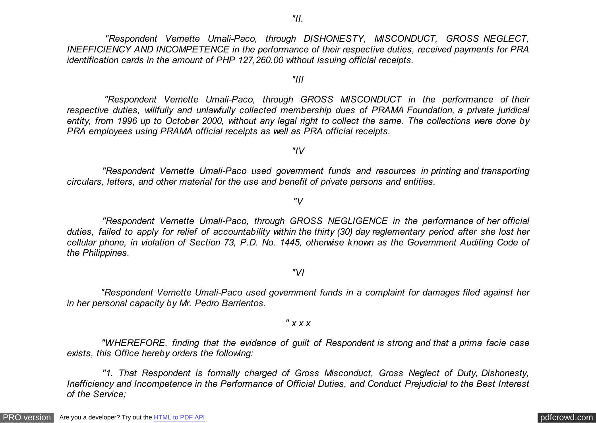*"Respondent Vernette Umali-Paco, through DISHONESTY, MISCONDUCT, GROSS NEGLECT, INEFFICIENCY AND INCOMPETENCE in the performance of their respective duties, received payments for PRA identification cards in the amount of PHP 127,260.00 without issuing official receipts.*

*"III*

 *"Respondent Vernette Umali-Paco, through GROSS MISCONDUCT in the performance of their respective duties, willfully and unlawfully collected membership dues of PRAMA Foundation, a private juridical entity, from 1996 up to October 2000, without any legal right to collect the same. The collections were done by PRA employees using PRAMA official receipts as well as PRA official receipts.*

*"IV*

 *"Respondent Vernette Umali-Paco used government funds and resources in printing and transporting circulars, letters, and other material for the use and benefit of private persons and entities.*

*"V*

 *"Respondent Vernette Umali-Paco, through GROSS NEGLIGENCE in the performance of her official duties, failed to apply for relief of accountability within the thirty (30) day reglementary period after she lost her cellular phone, in violation of Section 73, P.D. No. 1445, otherwise known as the Government Auditing Code of the Philippines.*

*"VI*

 *"Respondent Vernette Umali-Paco used government funds in a complaint for damages filed against her in her personal capacity by Mr. Pedro Barrientos.*

*" x x x*

 *"WHEREFORE, finding that the evidence of guilt of Respondent is strong and that a prima facie case exists, this Office hereby orders the following:*

 *"1. That Respondent is formally charged of Gross Misconduct, Gross Neglect of Duty, Dishonesty, Inefficiency and Incompetence in the Performance of Official Duties, and Conduct Prejudicial to the Best Interest of the Service;*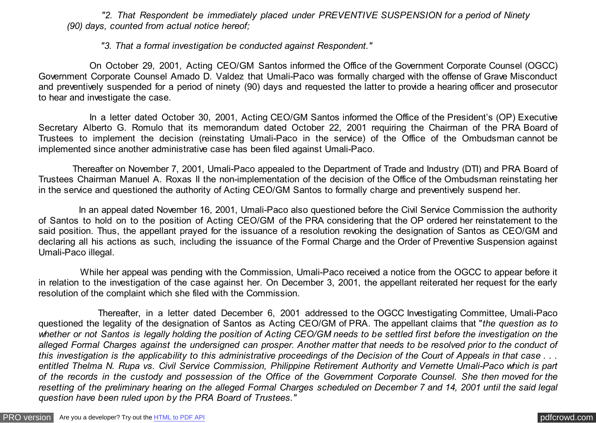*"2. That Respondent be immediately placed under PREVENTIVE SUSPENSION for a period of Ninety (90) days, counted from actual notice hereof;*

 *"3. That a formal investigation be conducted against Respondent."*

 On October 29, 2001, Acting CEO/GM Santos informed the Office of the Government Corporate Counsel (OGCC) Government Corporate Counsel Amado D. Valdez that Umali-Paco was formally charged with the offense of Grave Misconduct and preventively suspended for a period of ninety (90) days and requested the latter to provide a hearing officer and prosecutor to hear and investigate the case.

 In a letter dated October 30, 2001, Acting CEO/GM Santos informed the Office of the President's (OP) Executive Secretary Alberto G. Romulo that its memorandum dated October 22, 2001 requiring the Chairman of the PRA Board of Trustees to implement the decision (reinstating Umali-Paco in the service) of the Office of the Ombudsman cannot be implemented since another administrative case has been filed against Umali-Paco.

 Thereafter on November 7, 2001, Umali-Paco appealed to the Department of Trade and Industry (DTI) and PRA Board of Trustees Chairman Manuel A. Roxas II the non-implementation of the decision of the Office of the Ombudsman reinstating her in the service and questioned the authority of Acting CEO/GM Santos to formally charge and preventively suspend her.

 In an appeal dated November 16, 2001, Umali-Paco also questioned before the Civil Service Commission the authority of Santos to hold on to the position of Acting CEO/GM of the PRA considering that the OP ordered her reinstatement to the said position. Thus, the appellant prayed for the issuance of a resolution revoking the designation of Santos as CEO/GM and declaring all his actions as such, including the issuance of the Formal Charge and the Order of Preventive Suspension against Umali-Paco illegal.

 While her appeal was pending with the Commission, Umali-Paco received a notice from the OGCC to appear before it in relation to the investigation of the case against her. On December 3, 2001, the appellant reiterated her request for the early resolution of the complaint which she filed with the Commission.

 Thereafter, in a letter dated December 6, 2001 addressed to the OGCC Investigating Committee, Umali-Paco questioned the legality of the designation of Santos as Acting CEO/GM of PRA. The appellant claims that "*the question as to* whether or not Santos is legally holding the position of Acting CEO/GM needs to be settled first before the investigation on the *alleged Formal Charges against the undersigned can prosper. Another matter that needs to be resolved prior to the conduct of this investigation is the applicability to this administrative proceedings of the Decision of the Court of Appeals in that case . . . entitled Thelma N. Rupa vs. Civil Service Commission, Philippine Retirement Authority and Vernette Umali-Paco which is part of the records in the custody and possession of the Office of the Government Corporate Counsel. She then moved for the resetting of the preliminary hearing on the alleged Formal Charges scheduled on December 7 and 14, 2001 until the said legal question have been ruled upon by the PRA Board of Trustees."*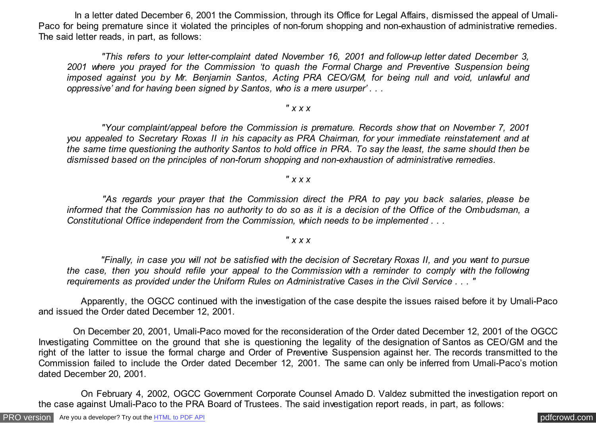In a letter dated December 6, 2001 the Commission, through its Office for Legal Affairs, dismissed the appeal of Umali-Paco for being premature since it violated the principles of non-forum shopping and non-exhaustion of administrative remedies. The said letter reads, in part, as follows:

 *"This refers to your letter-complaint dated November 16, 2001 and follow-up letter dated December 3, 2001 where you prayed for the Commission 'to quash the Formal Charge and Preventive Suspension being imposed against you by Mr. Benjamin Santos, Acting PRA CEO/GM, for being null and void, unlawful and oppressive' and for having been signed by Santos, who is a mere usurper' . . .*

### *" x x x*

 *"Your complaint/appeal before the Commission is premature. Records show that on November 7, 2001 you appealed to Secretary Roxas II in his capacity as PRA Chairman, for your immediate reinstatement and at the same time questioning the authority Santos to hold office in PRA. To say the least, the same should then be dismissed based on the principles of non-forum shopping and non-exhaustion of administrative remedies.*

## *" x x x*

 *"As regards your prayer that the Commission direct the PRA to pay you back salaries, please be informed that the Commission has no authority to do so as it is a decision of the Office of the Ombudsman, a Constitutional Office independent from the Commission, which needs to be implemented . . .*

# *" x x x*

 *"Finally, in case you will not be satisfied with the decision of Secretary Roxas II, and you want to pursue the case, then you should refile your appeal to the Commission with a reminder to comply with the following requirements as provided under the Uniform Rules on Administrative Cases in the Civil Service . . . "*

 Apparently, the OGCC continued with the investigation of the case despite the issues raised before it by Umali-Paco and issued the Order dated December 12, 2001.

 On December 20, 2001, Umali-Paco moved for the reconsideration of the Order dated December 12, 2001 of the OGCC Investigating Committee on the ground that she is questioning the legality of the designation of Santos as CEO/GM and the right of the latter to issue the formal charge and Order of Preventive Suspension against her. The records transmitted to the Commission failed to include the Order dated December 12, 2001. The same can only be inferred from Umali-Paco's motion dated December 20, 2001.

 On February 4, 2002, OGCC Government Corporate Counsel Amado D. Valdez submitted the investigation report on the case against Umali-Paco to the PRA Board of Trustees. The said investigation report reads, in part, as follows: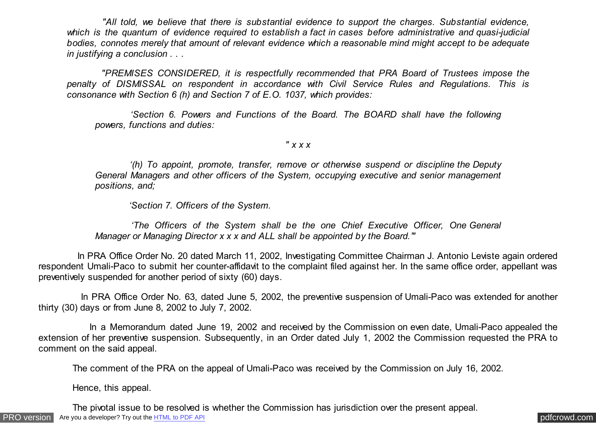*"All told, we believe that there is substantial evidence to support the charges. Substantial evidence, which is the quantum of evidence required to establish a fact in cases before administrative and quasi-judicial bodies, connotes merely that amount of relevant evidence which a reasonable mind might accept to be adequate in justifying a conclusion . . .*

 *"PREMISES CONSIDERED, it is respectfully recommended that PRA Board of Trustees impose the penalty of DISMISSAL on respondent in accordance with Civil Service Rules and Regulations. This is consonance with Section 6 (h) and Section 7 of E.O. 1037, which provides:*

 *'Section 6. Powers and Functions of the Board. The BOARD shall have the following powers, functions and duties:*

*" x x x*

 *'(h) To appoint, promote, transfer, remove or otherwise suspend or discipline the Deputy General Managers and other officers of the System, occupying executive and senior management positions, and;*

 *'Section 7. Officers of the System.*

 *'The Officers of the System shall be the one Chief Executive Officer, One General Manager or Managing Director x x x and ALL shall be appointed by the Board.'"*

 In PRA Office Order No. 20 dated March 11, 2002, Investigating Committee Chairman J. Antonio Leviste again ordered respondent Umali-Paco to submit her counter-affidavit to the complaint filed against her. In the same office order, appellant was preventively suspended for another period of sixty (60) days.

 In PRA Office Order No. 63, dated June 5, 2002, the preventive suspension of Umali-Paco was extended for another thirty (30) days or from June 8, 2002 to July 7, 2002.

 In a Memorandum dated June 19, 2002 and received by the Commission on even date, Umali-Paco appealed the extension of her preventive suspension. Subsequently, in an Order dated July 1, 2002 the Commission requested the PRA to comment on the said appeal.

The comment of the PRA on the appeal of Umali-Paco was received by the Commission on July 16, 2002.

Hence, this appeal.

The pivotal issue to be resolved is whether the Commission has jurisdiction over the present appeal.

[PRO version](http://pdfcrowd.com/customize/) Are you a developer? Try out th[e HTML to PDF API](http://pdfcrowd.com/html-to-pdf-api/?ref=pdf) contract the contract of the HTML to PDF API [pdfcrowd.com](http://pdfcrowd.com)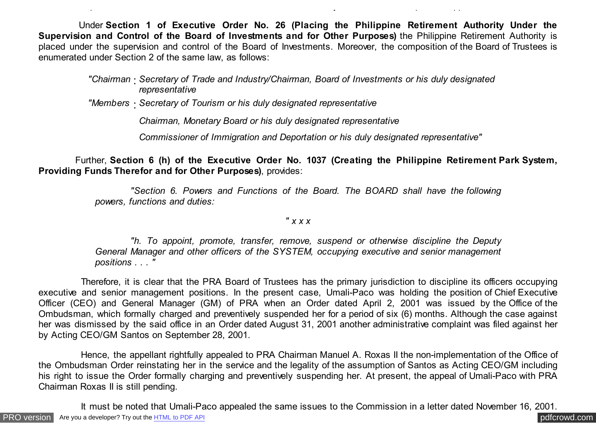Under **Section 1 of Executive Order No. 26 (Placing the Philippine Retirement Authority Under the Supervision and Control of the Board of Investments and for Other Purposes)** the Philippine Retirement Authority is placed under the supervision and control of the Board of Investments. Moreover, the composition of the Board of Trustees is enumerated under Section 2 of the same law, as follows:

*"Chairman* : *Secretary of Trade and Industry/Chairman, Board of Investments or his duly designated representative*

*"Members* : *Secretary of Tourism or his duly designated representative*

*Chairman, Monetary Board or his duly designated representative*

The pivotal issue to be resolved is whether the Commission has jurisdiction over the present appeal.

*Commissioner of Immigration and Deportation or his duly designated representative"*

 Further, **Section 6 (h) of the Executive Order No. 1037 (Creating the Philippine Retirement Park System, Providing Funds Therefor and for Other Purposes)**, provides:

> *"Section 6. Powers and Functions of the Board. The BOARD shall have the following powers, functions and duties:*

### *" x x x*

 *"h. To appoint, promote, transfer, remove, suspend or otherwise discipline the Deputy General Manager and other officers of the SYSTEM, occupying executive and senior management positions . . . "*

 Therefore, it is clear that the PRA Board of Trustees has the primary jurisdiction to discipline its officers occupying executive and senior management positions. In the present case, Umali-Paco was holding the position of Chief Executive Officer (CEO) and General Manager (GM) of PRA when an Order dated April 2, 2001 was issued by the Office of the Ombudsman, which formally charged and preventively suspended her for a period of six (6) months. Although the case against her was dismissed by the said office in an Order dated August 31, 2001 another administrative complaint was filed against her by Acting CEO/GM Santos on September 28, 2001.

 Hence, the appellant rightfully appealed to PRA Chairman Manuel A. Roxas II the non-implementation of the Office of the Ombudsman Order reinstating her in the service and the legality of the assumption of Santos as Acting CEO/GM including his right to issue the Order formally charging and preventively suspending her. At present, the appeal of Umali-Paco with PRA Chairman Roxas II is still pending.

It must be noted that Umali-Paco appealed the same issues to the Commission in a letter dated November 16, 2001.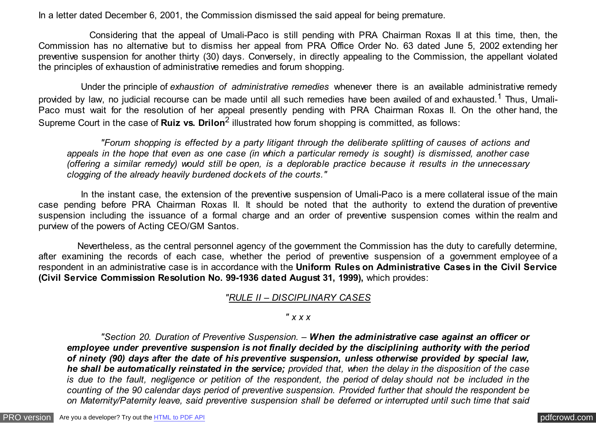In a letter dated December 6, 2001, the Commission dismissed the said appeal for being premature.

 Considering that the appeal of Umali-Paco is still pending with PRA Chairman Roxas II at this time, then, the Commission has no alternative but to dismiss her appeal from PRA Office Order No. 63 dated June 5, 2002 extending her preventive suspension for another thirty (30) days. Conversely, in directly appealing to the Commission, the appellant violated the principles of exhaustion of administrative remedies and forum shopping.

 Under the principle of *exhaustion of administrative remedies* whenever there is an available administrative remedy provided by law, no judicial recourse can be made until all such remedies have been availed of and exhausted.<sup>1</sup> Thus, Umali-Paco must wait for the resolution of her appeal presently pending with PRA Chairman Roxas II. On the other hand, the Supreme Court in the case of **Ruiz vs. Drilon**<sup>2</sup> illustrated how forum shopping is committed, as follows:

 *"Forum shopping is effected by a party litigant through the deliberate splitting of causes of actions and appeals in the hope that even as one case (in which a particular remedy is sought) is dismissed, another case (offering a similar remedy) would still be open, is a deplorable practice because it results in the unnecessary clogging of the already heavily burdened dockets of the courts."*

 In the instant case, the extension of the preventive suspension of Umali-Paco is a mere collateral issue of the main case pending before PRA Chairman Roxas II. It should be noted that the authority to extend the duration of preventive suspension including the issuance of a formal charge and an order of preventive suspension comes within the realm and purview of the powers of Acting CEO/GM Santos.

 Nevertheless, as the central personnel agency of the government the Commission has the duty to carefully determine, after examining the records of each case, whether the period of preventive suspension of a government employee of a respondent in an administrative case is in accordance with the **Uniform Rules on Administrative Cases in the Civil Service (Civil Service Commission Resolution No. 99-1936 dated August 31, 1999),** which provides:

## *"RULE II – DISCIPLINARY CASES*

### *" x x x*

 *"Section 20. Duration of Preventive Suspension. – When the administrative case against an officer or employee under preventive suspension is not finally decided by the disciplining authority with the period of ninety (90) days after the date of his preventive suspension, unless otherwise provided by special law, he shall be automatically reinstated in the service; provided that, when the delay in the disposition of the case is due to the fault, negligence or petition of the respondent, the period of delay should not be included in the counting of the 90 calendar days period of preventive suspension. Provided further that should the respondent be on Maternity/Paternity leave, said preventive suspension shall be deferred or interrupted until such time that said*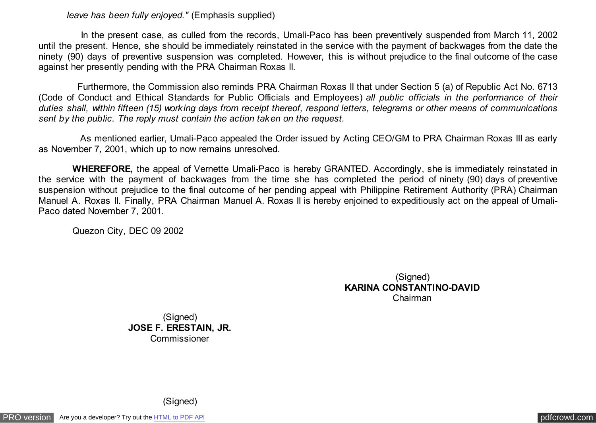#### *leave has been fully enjoyed."* (Emphasis supplied)

 In the present case, as culled from the records, Umali-Paco has been preventively suspended from March 11, 2002 until the present. Hence, she should be immediately reinstated in the service with the payment of backwages from the date the ninety (90) days of preventive suspension was completed. However, this is without prejudice to the final outcome of the case against her presently pending with the PRA Chairman Roxas II.

 Furthermore, the Commission also reminds PRA Chairman Roxas II that under Section 5 (a) of Republic Act No. 6713 (Code of Conduct and Ethical Standards for Public Officials and Employees) *all public officials in the performance of their duties shall, within fifteen (15) working days from receipt thereof, respond letters, telegrams or other means of communications sent by the public. The reply must contain the action taken on the request.*

 As mentioned earlier, Umali-Paco appealed the Order issued by Acting CEO/GM to PRA Chairman Roxas III as early as November 7, 2001, which up to now remains unresolved.

 **WHEREFORE,** the appeal of Vernette Umali-Paco is hereby GRANTED. Accordingly, she is immediately reinstated in the service with the payment of backwages from the time she has completed the period of ninety (90) days of preventive suspension without prejudice to the final outcome of her pending appeal with Philippine Retirement Authority (PRA) Chairman Manuel A. Roxas II. Finally, PRA Chairman Manuel A. Roxas II is hereby enjoined to expeditiously act on the appeal of Umali-Paco dated November 7, 2001.

Quezon City, DEC 09 2002

(Signed) **KARINA CONSTANTINO-DAVID** Chairman

(Signed) **JOSE F. ERESTAIN, JR.** Commissioner

(Signed)